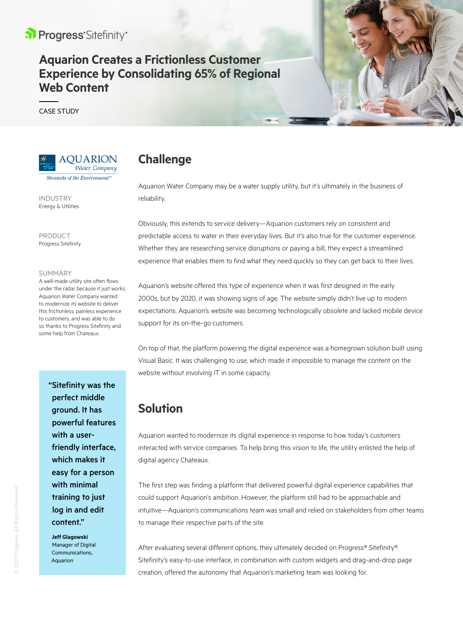

# **Aquarion Creates a Frictionless Customer Experience by Consolidating 65% of Regional Web Content**

CASE STUDY



INDUSTRY Energy & Utilities

PRODUCT Progress Sitefinity

#### SUMMARY

A well-made utility site often flows under the radar because it just works. Aquarion Water Company wanted to modernize its website to deliver this frictionless, painless experience to customers, and was able to do so thanks to Progress Sitefinity and some help from Chateaux.

> "Sitefinity was the perfect middle ground. It has powerful features with a userfriendly interface, which makes it easy for a person with minimal training to just log in and edit content."

**Jeff Glagowski**  Manager of Digital Communications, Aquarion

# **Challenge**

Aquarion Water Company may be a water supply utility, but it's ultimately in the business of reliability.

Obviously, this extends to service delivery—Aquarion customers rely on consistent and predictable access to water in their everyday lives. But it's also true for the customer experience. Whether they are researching service disruptions or paying a bill, they expect a streamlined experience that enables them to find what they need quickly so they can get back to their lives.

Aquarion's website offered this type of experience when it was first designed in the early 2000s, but by 2020, it was showing signs of age. The website simply didn't live up to modern expectations. Aquarion's website was becoming technologically obsolete and lacked mobile device support for its on-the-go customers.

On top of that, the platform powering the digital experience was a homegrown solution built using Visual Basic. It was challenging to use, which made it impossible to manage the content on the website without involving IT in some capacity.

## **Solution**

Aquarion wanted to modernize its digital experience in response to how today's customers interacted with service companies. To help bring this vision to life, the utility enlisted the help of digital agency Chateaux.

The first step was finding a platform that delivered powerful digital experience capabilities that could support Aquarion's ambition. However, the platform still had to be approachable and intuitive—Aquarion's communications team was small and relied on stakeholders from other teams to manage their respective parts of the site.

After evaluating several different options, they ultimately decided on Progress® Sitefinity®. Sitefinity's easy-to-use interface, in combination with custom widgets and drag-and-drop page creation, offered the autonomy that Aquarion's marketing team was looking for.